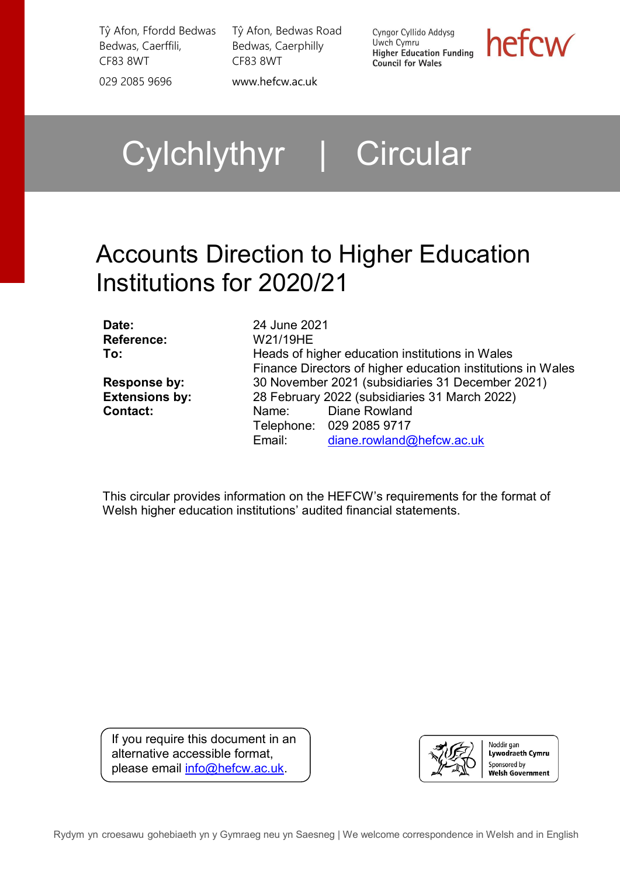Tŷ Afon, Ffordd Bedwas Bedwas, Caerffili, CF83 8WT

Tŷ Afon, Bedwas Road Bedwas, Caerphilly CF83 8WT

029 2085 9696 [www.hefcw.ac.uk](http://www.hefcw.ac.uk/)

Cyngor Cyllido Addysg Uwch Cymru **Higher Education Funding Council for Wales** 

hefcw

# Cylchlythyr | Circular

# Accounts Direction to Higher Education Institutions for 2020/21

**Reference:** W21/19HE

**Date:** 24 June 2021 **To: Heads of higher education institutions in Wales** Finance Directors of higher education institutions in Wales **Response by:** 30 November 2021 (subsidiaries 31 December 2021) **Extensions by:** 28 February 2022 (subsidiaries 31 March 2022)<br> **Contact:** Name: Diane Rowland Name: Diane Rowland Telephone: 029 2085 9717 Email: [diane.rowland@hefcw.ac.uk](mailto:diane.rowland@hefcw.ac.uk)

This circular provides information on the HEFCW's requirements for the format of Welsh higher education institutions' audited financial statements.

If you require this document in an alternative accessible format, please email [info@hefcw.ac.uk.](mailto:info@hefcw.ac.uk)

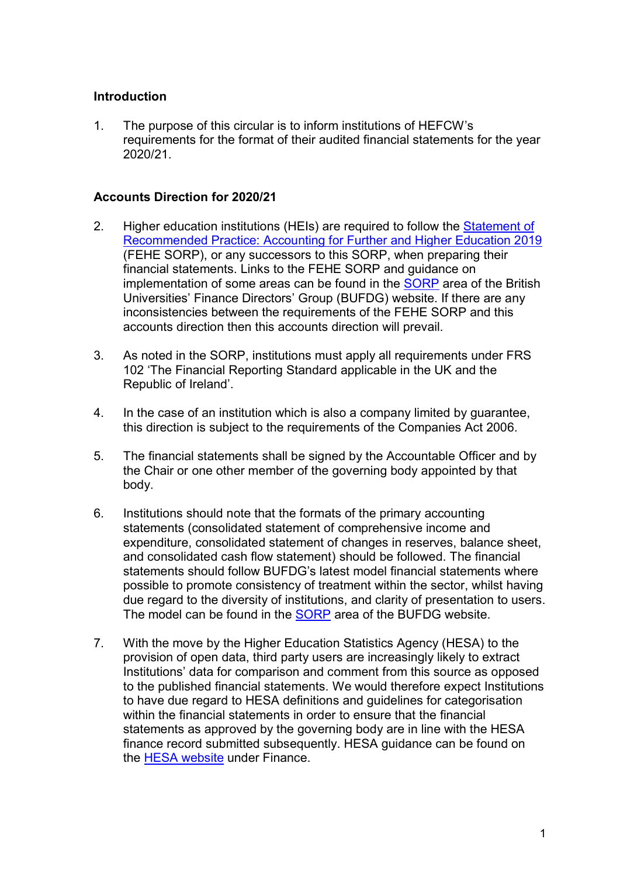# **Introduction**

1. The purpose of this circular is to inform institutions of HEFCW's requirements for the format of their audited financial statements for the year 2020/21.

### **Accounts Direction for 2020/21**

- 2. Higher education institutions (HEIs) are required to follow the Statement of [Recommended Practice: Accounting for Further and Higher Education 2019](https://www.universitiesuk.ac.uk/policy-and-analysis/reports/Documents/2018/statement-of-recommended-practice-2019.pdf) (FEHE SORP), or any successors to this SORP, when preparing their financial statements. Links to the FEHE SORP and guidance on implementation of some areas can be found in the **[SORP](https://www.bufdg.ac.uk/resources/financial-reporting/sorp/introduction/)** area of the British Universities' Finance Directors' Group (BUFDG) website. If there are any inconsistencies between the requirements of the FEHE SORP and this accounts direction then this accounts direction will prevail.
- 3. As noted in the SORP, institutions must apply all requirements under FRS 102 'The Financial Reporting Standard applicable in the UK and the Republic of Ireland'.
- 4. In the case of an institution which is also a company limited by guarantee, this direction is subject to the requirements of the Companies Act 2006.
- 5. The financial statements shall be signed by the Accountable Officer and by the Chair or one other member of the governing body appointed by that body.
- 6. Institutions should note that the formats of the primary accounting statements (consolidated statement of comprehensive income and expenditure, consolidated statement of changes in reserves, balance sheet, and consolidated cash flow statement) should be followed. The financial statements should follow BUFDG's latest model financial statements where possible to promote consistency of treatment within the sector, whilst having due regard to the diversity of institutions, and clarity of presentation to users. The model can be found in the **SORP** area of the BUFDG website.
- 7. With the move by the Higher Education Statistics Agency (HESA) to the provision of open data, third party users are increasingly likely to extract Institutions' data for comparison and comment from this source as opposed to the published financial statements. We would therefore expect Institutions to have due regard to HESA definitions and guidelines for categorisation within the financial statements in order to ensure that the financial statements as approved by the governing body are in line with the HESA finance record submitted subsequently. HESA guidance can be found on the [HESA website](https://www.hesa.ac.uk/collection) under Finance.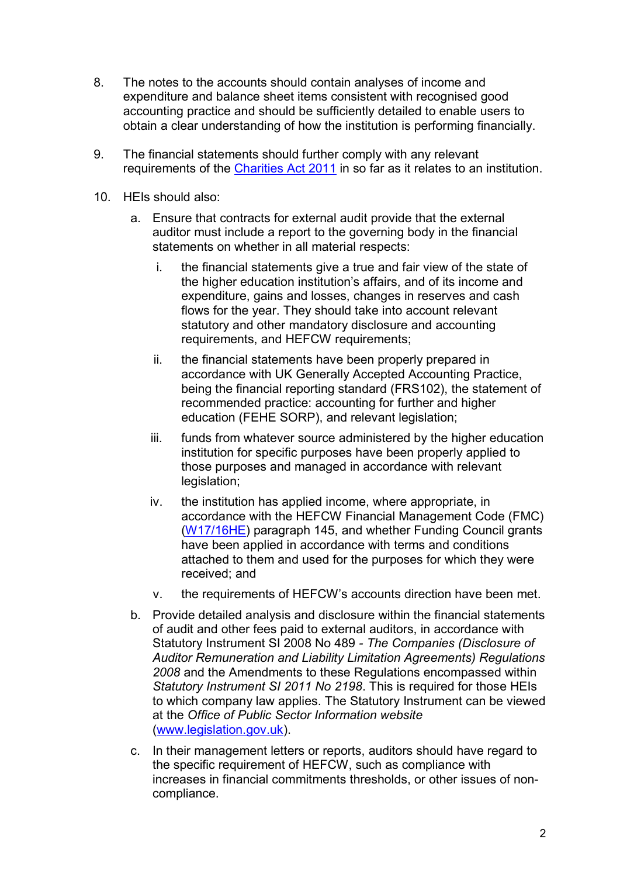- 8. The notes to the accounts should contain analyses of income and expenditure and balance sheet items consistent with recognised good accounting practice and should be sufficiently detailed to enable users to obtain a clear understanding of how the institution is performing financially.
- 9. The financial statements should further comply with any relevant requirements of the [Charities Act 2011](https://www.legislation.gov.uk/ukpga/2011/25/contents) in so far as it relates to an institution.
- 10. HEIs should also:
	- a. Ensure that contracts for external audit provide that the external auditor must include a report to the governing body in the financial statements on whether in all material respects:
		- i. the financial statements give a true and fair view of the state of the higher education institution's affairs, and of its income and expenditure, gains and losses, changes in reserves and cash flows for the year. They should take into account relevant statutory and other mandatory disclosure and accounting requirements, and HEFCW requirements;
		- ii. the financial statements have been properly prepared in accordance with UK Generally Accepted Accounting Practice, being the financial reporting standard (FRS102), the statement of recommended practice: accounting for further and higher education (FEHE SORP), and relevant legislation;
		- iii. funds from whatever source administered by the higher education institution for specific purposes have been properly applied to those purposes and managed in accordance with relevant legislation;
		- iv. the institution has applied income, where appropriate, in accordance with the HEFCW Financial Management Code (FMC) [\(W17/16HE\)](https://www.hefcw.ac.uk/en/publications/circulars/w17-16he-financial-management-code/) paragraph 145, and whether Funding Council grants have been applied in accordance with terms and conditions attached to them and used for the purposes for which they were received; and
		- v. the requirements of HEFCW's accounts direction have been met.
	- b. Provide detailed analysis and disclosure within the financial statements of audit and other fees paid to external auditors, in accordance with Statutory Instrument SI 2008 No 489 *- The Companies (Disclosure of Auditor Remuneration and Liability Limitation Agreements) Regulations 2008* and the Amendments to these Regulations encompassed within *Statutory Instrument SI 2011 No 2198*. This is required for those HEIs to which company law applies. The Statutory Instrument can be viewed at the *Office of Public Sector Information website* [\(www.legislation.gov.uk\)](http://www.legislation.gov.uk/).
	- c. In their management letters or reports, auditors should have regard to the specific requirement of HEFCW, such as compliance with increases in financial commitments thresholds, or other issues of noncompliance.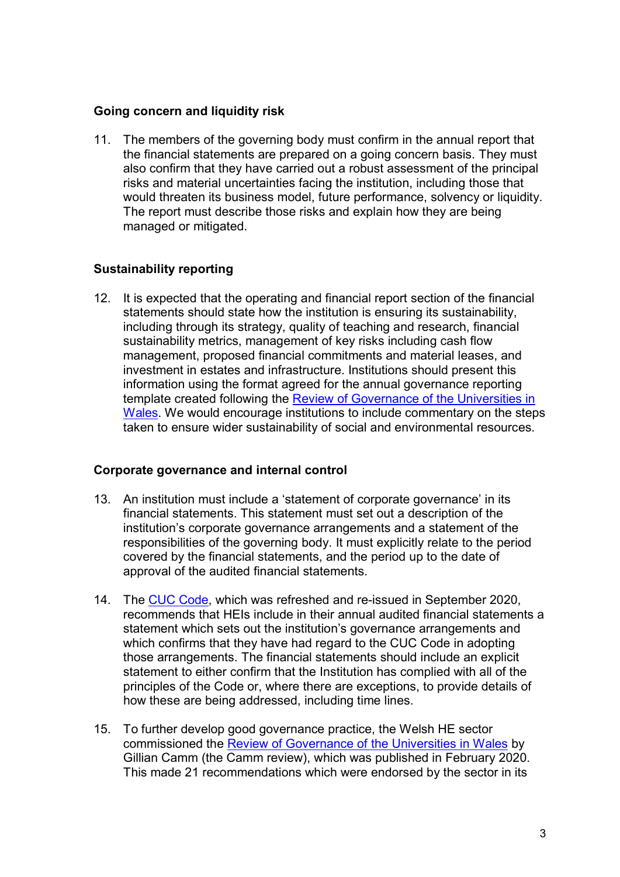#### **Going concern and liquidity risk**

11. The members of the governing body must confirm in the annual report that the financial statements are prepared on a going concern basis. They must also confirm that they have carried out a robust assessment of the principal risks and material uncertainties facing the institution, including those that would threaten its business model, future performance, solvency or liquidity. The report must describe those risks and explain how they are being managed or mitigated.

# **Sustainability reporting**

12. It is expected that the operating and financial report section of the financial statements should state how the institution is ensuring its sustainability, including through its strategy, quality of teaching and research, financial sustainability metrics, management of key risks including cash flow management, proposed financial commitments and material leases, and investment in estates and infrastructure. Institutions should present this information using the format agreed for the annual governance reporting template created following the Review of Governance of the Universities in [Wales.](https://www.hefcw.ac.uk/wp-content/uploads/2020/09/Gillian-Camm-Wales-Governance-Review.pdf) We would encourage institutions to include commentary on the steps taken to ensure wider sustainability of social and environmental resources.

#### **Corporate governance and internal control**

- 13. An institution must include a 'statement of corporate governance' in its financial statements. This statement must set out a description of the institution's corporate governance arrangements and a statement of the responsibilities of the governing body. It must explicitly relate to the period covered by the financial statements, and the period up to the date of approval of the audited financial statements.
- 14. The [CUC Code,](https://www.universitychairs.ac.uk/wp-content/uploads/2020/09/CUC-HE-Code-of-Governance-publication-final.pdf) which was refreshed and re-issued in September 2020, recommends that HEIs include in their annual audited financial statements a statement which sets out the institution's governance arrangements and which confirms that they have had regard to the CUC Code in adopting those arrangements. The financial statements should include an explicit statement to either confirm that the Institution has complied with all of the principles of the Code or, where there are exceptions, to provide details of how these are being addressed, including time lines.
- 15. To further develop good governance practice, the Welsh HE sector commissioned the **Review of Governance of the Universities in Wales** by Gillian Camm (the Camm review), which was published in February 2020. This made 21 recommendations which were endorsed by the sector in its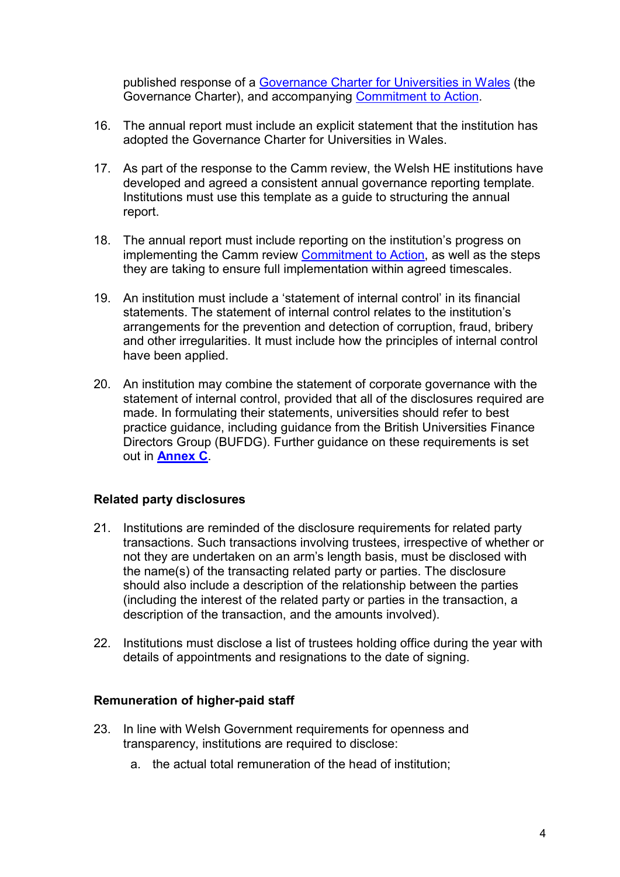published response of a Governance Charter [for Universities in Wales](https://www.hefcw.ac.uk/wp-content/uploads/2020/09/Universities-in-Wales-Governance-Charter-English.pdf) (the Governance Charter), and accompanying [Commitment to Action.](https://www.hefcw.ac.uk/wp-content/uploads/2020/09/Universities-of-Wales-Governance-charter-commitments-English.pdf)

- 16. The annual report must include an explicit statement that the institution has adopted the Governance Charter for Universities in Wales.
- 17. As part of the response to the Camm review, the Welsh HE institutions have developed and agreed a consistent annual governance reporting template. Institutions must use this template as a guide to structuring the annual report.
- 18. The annual report must include reporting on the institution's progress on implementing the Camm review [Commitment to Action,](https://www.hefcw.ac.uk/wp-content/uploads/2020/09/Universities-of-Wales-Governance-charter-commitments-English.pdf) as well as the steps they are taking to ensure full implementation within agreed timescales.
- 19. An institution must include a 'statement of internal control' in its financial statements. The statement of internal control relates to the institution's arrangements for the prevention and detection of corruption, fraud, bribery and other irregularities. It must include how the principles of internal control have been applied.
- 20. An institution may combine the statement of corporate governance with the statement of internal control, provided that all of the disclosures required are made. In formulating their statements, universities should refer to best practice guidance, including guidance from the British Universities Finance Directors Group (BUFDG). Further guidance on these requirements is set out in **[Annex C](#page-13-0)**.

#### **Related party disclosures**

- 21. Institutions are reminded of the disclosure requirements for related party transactions. Such transactions involving trustees, irrespective of whether or not they are undertaken on an arm's length basis, must be disclosed with the name(s) of the transacting related party or parties. The disclosure should also include a description of the relationship between the parties (including the interest of the related party or parties in the transaction, a description of the transaction, and the amounts involved).
- 22. Institutions must disclose a list of trustees holding office during the year with details of appointments and resignations to the date of signing.

#### **Remuneration of higher-paid staff**

- 23. In line with Welsh Government requirements for openness and transparency, institutions are required to disclose:
	- a. the actual total remuneration of the head of institution;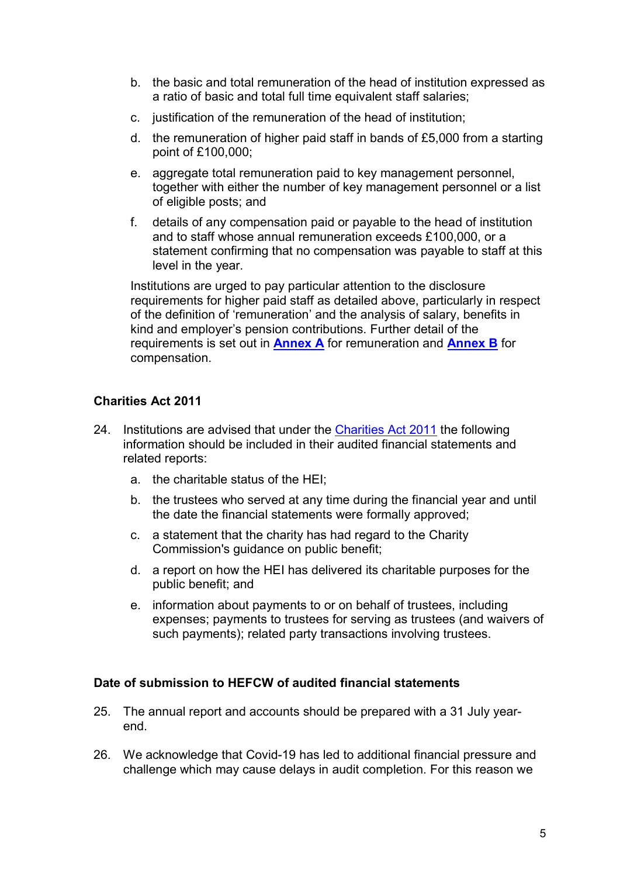- b. the basic and total remuneration of the head of institution expressed as a ratio of basic and total full time equivalent staff salaries;
- c. justification of the remuneration of the head of institution;
- d. the remuneration of higher paid staff in bands of £5,000 from a starting point of £100,000;
- e. aggregate total remuneration paid to key management personnel, together with either the number of key management personnel or a list of eligible posts; and
- f. details of any compensation paid or payable to the head of institution and to staff whose annual remuneration exceeds £100,000, or a statement confirming that no compensation was payable to staff at this level in the year.

Institutions are urged to pay particular attention to the disclosure requirements for higher paid staff as detailed above, particularly in respect of the definition of 'remuneration' and the analysis of salary, benefits in kind and employer's pension contributions. Further detail of the requirements is set out in **[Annex A](#page-7-0)** for remuneration and **[Annex B](#page-11-0)** for compensation.

# **Charities Act 2011**

- 24. Institutions are advised that under the [Charities Act 2011](http://www.legislation.gov.uk/ukpga/2011/25/contents) the following information should be included in their audited financial statements and related reports:
	- a. the charitable status of the HEI;
	- b. the trustees who served at any time during the financial year and until the date the financial statements were formally approved;
	- c. a statement that the charity has had regard to the Charity Commission's guidance on public benefit;
	- d. a report on how the HEI has delivered its charitable purposes for the public benefit; and
	- e. information about payments to or on behalf of trustees, including expenses; payments to trustees for serving as trustees (and waivers of such payments); related party transactions involving trustees.

#### **Date of submission to HEFCW of audited financial statements**

- 25. The annual report and accounts should be prepared with a 31 July yearend.
- 26. We acknowledge that Covid-19 has led to additional financial pressure and challenge which may cause delays in audit completion. For this reason we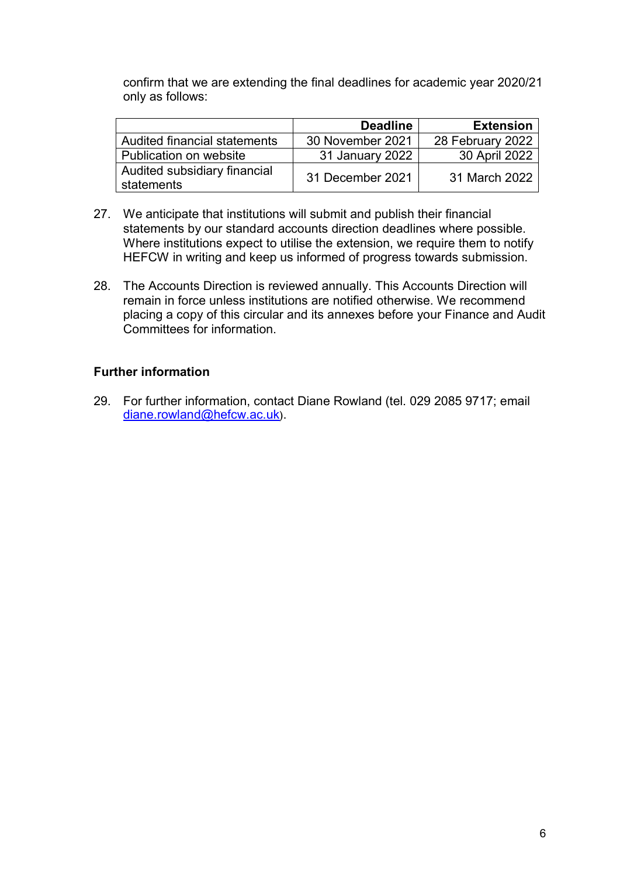confirm that we are extending the final deadlines for academic year 2020/21 only as follows:

|                                            | <b>Deadline</b>  | <b>Extension</b> |
|--------------------------------------------|------------------|------------------|
| Audited financial statements               | 30 November 2021 | 28 February 2022 |
| Publication on website                     | 31 January 2022  | 30 April 2022    |
| Audited subsidiary financial<br>statements | 31 December 2021 | 31 March 2022    |

- 27. We anticipate that institutions will submit and publish their financial statements by our standard accounts direction deadlines where possible. Where institutions expect to utilise the extension, we require them to notify HEFCW in writing and keep us informed of progress towards submission.
- 28. The Accounts Direction is reviewed annually. This Accounts Direction will remain in force unless institutions are notified otherwise. We recommend placing a copy of this circular and its annexes before your Finance and Audit Committees for information.

# **Further information**

29. For further information, contact Diane Rowland (tel. 029 2085 9717; email [diane.rowland@hefcw.ac.uk](file://hefcwnas2/hefcw/Assurance/Financial%20assurance/Audited/Accounts%20Direction%20Circular/2018-19%20accounts%20direction/diane.rowland@hefcw.ac.uk)).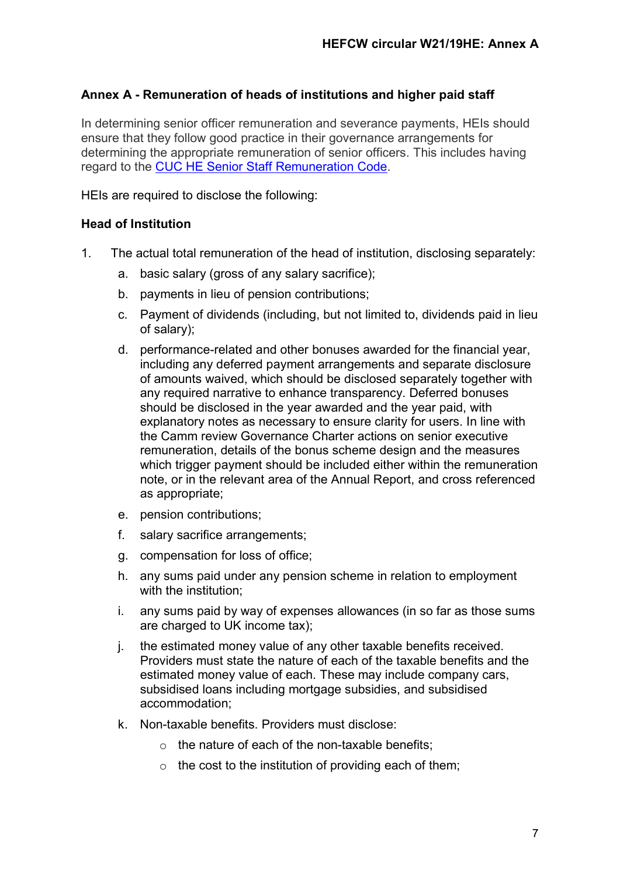# <span id="page-7-0"></span>**Annex A - Remuneration of heads of institutions and higher paid staff**

In determining senior officer remuneration and severance payments, HEIs should ensure that they follow good practice in their governance arrangements for determining the appropriate remuneration of senior officers. This includes having regard to the [CUC HE Senior Staff Remuneration Code.](https://www.universitychairs.ac.uk/wp-content/uploads/2018/06/HE-Remuneration-Code.pdf)

HEIs are required to disclose the following:

# **Head of Institution**

- 1. The actual total remuneration of the head of institution, disclosing separately:
	- a. basic salary (gross of any salary sacrifice);
	- b. payments in lieu of pension contributions;
	- c. Payment of dividends (including, but not limited to, dividends paid in lieu of salary);
	- d. performance-related and other bonuses awarded for the financial year, including any deferred payment arrangements and separate disclosure of amounts waived, which should be disclosed separately together with any required narrative to enhance transparency. Deferred bonuses should be disclosed in the year awarded and the year paid, with explanatory notes as necessary to ensure clarity for users. In line with the Camm review Governance Charter actions on senior executive remuneration, details of the bonus scheme design and the measures which trigger payment should be included either within the remuneration note, or in the relevant area of the Annual Report, and cross referenced as appropriate;
	- e. pension contributions;
	- f. salary sacrifice arrangements;
	- g. compensation for loss of office;
	- h. any sums paid under any pension scheme in relation to employment with the institution;
	- i. any sums paid by way of expenses allowances (in so far as those sums are charged to UK income tax);
	- j. the estimated money value of any other taxable benefits received. Providers must state the nature of each of the taxable benefits and the estimated money value of each. These may include company cars, subsidised loans including mortgage subsidies, and subsidised accommodation;
	- k. Non-taxable benefits. Providers must disclose:
		- $\circ$  the nature of each of the non-taxable benefits;
		- $\circ$  the cost to the institution of providing each of them;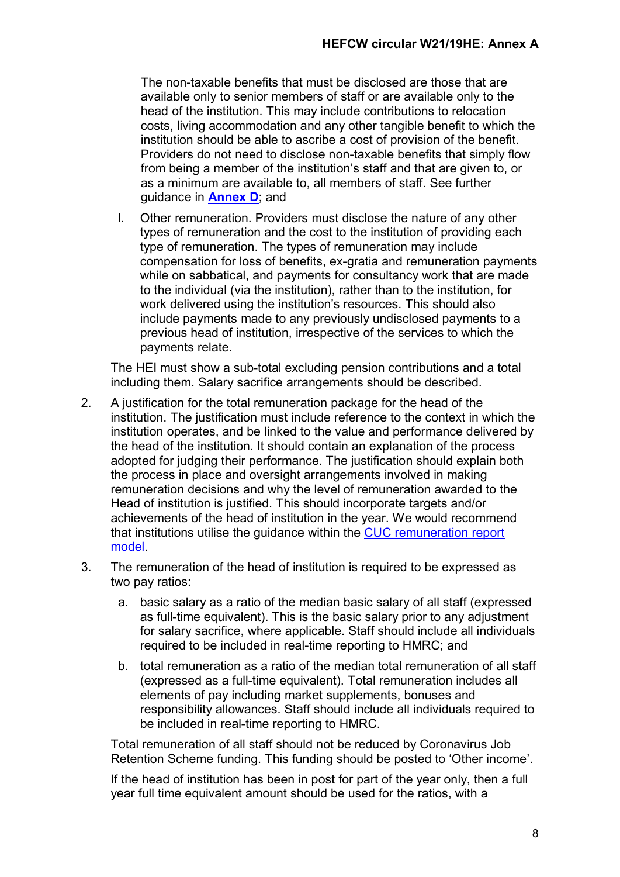The non-taxable benefits that must be disclosed are those that are available only to senior members of staff or are available only to the head of the institution. This may include contributions to relocation costs, living accommodation and any other tangible benefit to which the institution should be able to ascribe a cost of provision of the benefit. Providers do not need to disclose non-taxable benefits that simply flow from being a member of the institution's staff and that are given to, or as a minimum are available to, all members of staff. See further guidance in **[Annex D](#page-17-0)**; and

l. Other remuneration. Providers must disclose the nature of any other types of remuneration and the cost to the institution of providing each type of remuneration. The types of remuneration may include compensation for loss of benefits, ex-gratia and remuneration payments while on sabbatical, and payments for consultancy work that are made to the individual (via the institution), rather than to the institution, for work delivered using the institution's resources. This should also include payments made to any previously undisclosed payments to a previous head of institution, irrespective of the services to which the payments relate.

The HEI must show a sub-total excluding pension contributions and a total including them. Salary sacrifice arrangements should be described.

- 2. A justification for the total remuneration package for the head of the institution. The justification must include reference to the context in which the institution operates, and be linked to the value and performance delivered by the head of the institution. It should contain an explanation of the process adopted for judging their performance. The justification should explain both the process in place and oversight arrangements involved in making remuneration decisions and why the level of remuneration awarded to the Head of institution is justified. This should incorporate targets and/or achievements of the head of institution in the year. We would recommend that institutions utilise the guidance within the [CUC remuneration report](https://www.universitychairs.ac.uk/wp-content/uploads/2018/06/HE-Remuneration-Code.pdf)  [model.](https://www.universitychairs.ac.uk/wp-content/uploads/2018/06/HE-Remuneration-Code.pdf)
- 3. The remuneration of the head of institution is required to be expressed as two pay ratios:
	- a. basic salary as a ratio of the median basic salary of all staff (expressed as full-time equivalent). This is the basic salary prior to any adjustment for salary sacrifice, where applicable. Staff should include all individuals required to be included in real-time reporting to HMRC; and
	- b. total remuneration as a ratio of the median total remuneration of all staff (expressed as a full-time equivalent). Total remuneration includes all elements of pay including market supplements, bonuses and responsibility allowances. Staff should include all individuals required to be included in real-time reporting to HMRC.

Total remuneration of all staff should not be reduced by Coronavirus Job Retention Scheme funding. This funding should be posted to 'Other income'.

If the head of institution has been in post for part of the year only, then a full year full time equivalent amount should be used for the ratios, with a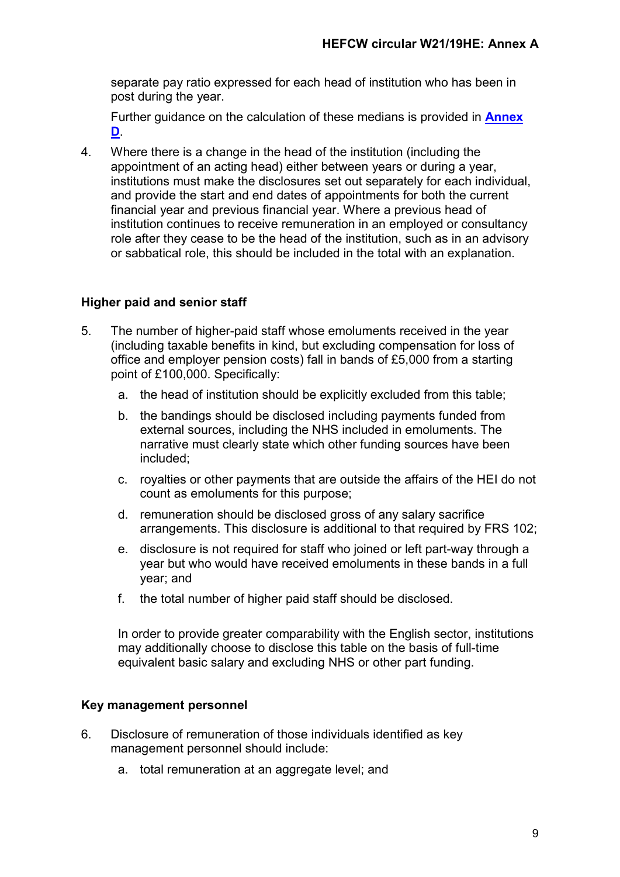separate pay ratio expressed for each head of institution who has been in post during the year.

Further guidance on the calculation of these medians is provided in **[Annex](#page-17-0)  [D](#page-17-0)**.

4. Where there is a change in the head of the institution (including the appointment of an acting head) either between years or during a year, institutions must make the disclosures set out separately for each individual, and provide the start and end dates of appointments for both the current financial year and previous financial year. Where a previous head of institution continues to receive remuneration in an employed or consultancy role after they cease to be the head of the institution, such as in an advisory or sabbatical role, this should be included in the total with an explanation.

# **Higher paid and senior staff**

- 5. The number of higher-paid staff whose emoluments received in the year (including taxable benefits in kind, but excluding compensation for loss of office and employer pension costs) fall in bands of £5,000 from a starting point of £100,000. Specifically:
	- a. the head of institution should be explicitly excluded from this table;
	- b. the bandings should be disclosed including payments funded from external sources, including the NHS included in emoluments. The narrative must clearly state which other funding sources have been included;
	- c. royalties or other payments that are outside the affairs of the HEI do not count as emoluments for this purpose;
	- d. remuneration should be disclosed gross of any salary sacrifice arrangements. This disclosure is additional to that required by FRS 102;
	- e. disclosure is not required for staff who joined or left part-way through a year but who would have received emoluments in these bands in a full year; and
	- f. the total number of higher paid staff should be disclosed.

In order to provide greater comparability with the English sector, institutions may additionally choose to disclose this table on the basis of full-time equivalent basic salary and excluding NHS or other part funding.

# **Key management personnel**

- 6. Disclosure of remuneration of those individuals identified as key management personnel should include:
	- a. total remuneration at an aggregate level; and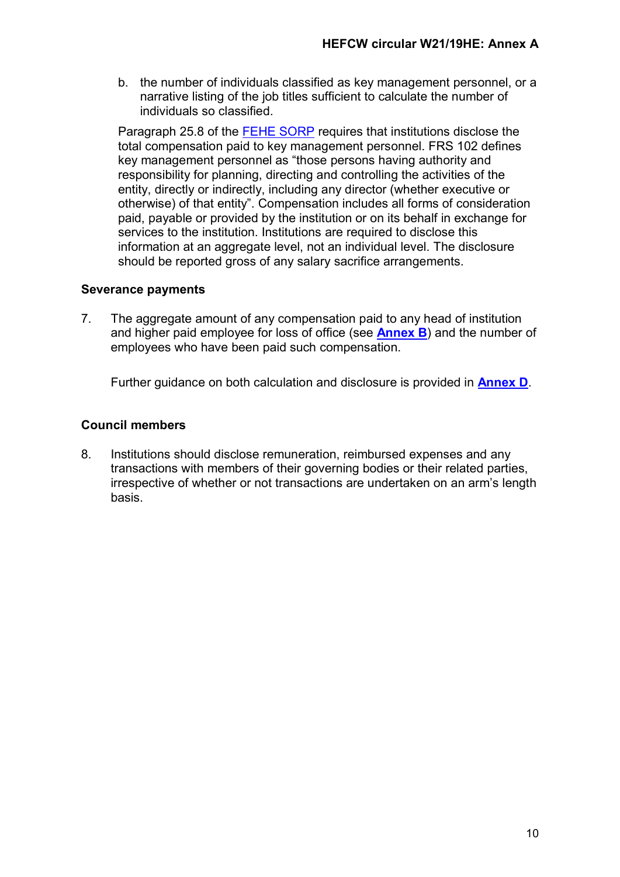b. the number of individuals classified as key management personnel, or a narrative listing of the job titles sufficient to calculate the number of individuals so classified.

Paragraph 25.8 of the [FEHE SORP](https://www.universitiesuk.ac.uk/policy-and-analysis/reports/Documents/2018/statement-of-recommended-practice-2019.pdf) requires that institutions disclose the total compensation paid to key management personnel. FRS 102 defines key management personnel as "those persons having authority and responsibility for planning, directing and controlling the activities of the entity, directly or indirectly, including any director (whether executive or otherwise) of that entity". Compensation includes all forms of consideration paid, payable or provided by the institution or on its behalf in exchange for services to the institution. Institutions are required to disclose this information at an aggregate level, not an individual level. The disclosure should be reported gross of any salary sacrifice arrangements.

# **Severance payments**

7. The aggregate amount of any compensation paid to any head of institution and higher paid employee for loss of office (see **[Annex B](#page-11-0)**) and the number of employees who have been paid such compensation.

Further guidance on both calculation and disclosure is provided in **[Annex D](#page-17-0)**.

# **Council members**

8. Institutions should disclose remuneration, reimbursed expenses and any transactions with members of their governing bodies or their related parties, irrespective of whether or not transactions are undertaken on an arm's length basis.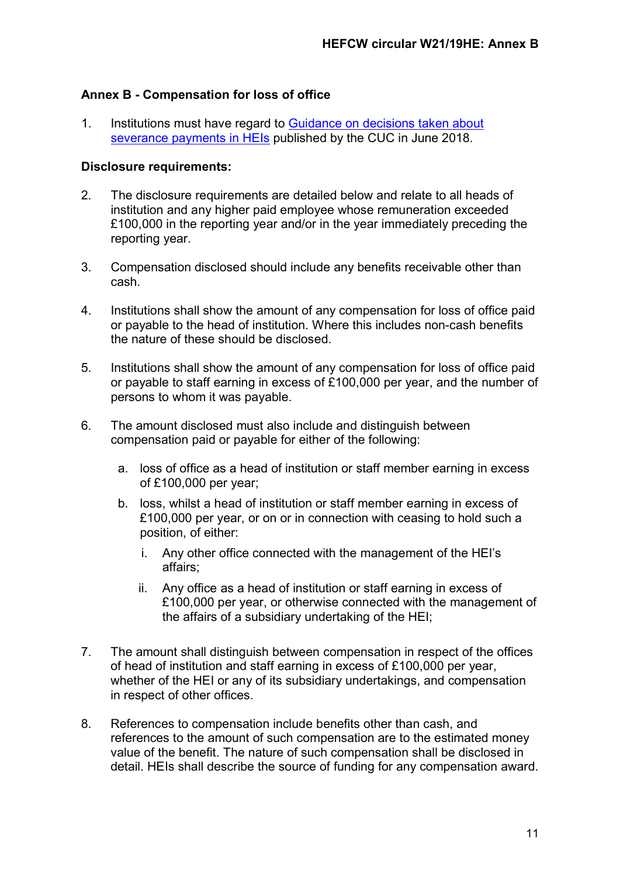# <span id="page-11-0"></span>**Annex B - Compensation for loss of office**

1. Institutions must have regard to [Guidance on decisions taken about](https://www.universitychairs.ac.uk/wp-content/uploads/2018/06/HE-Remuneration-Code-Severance.pdf)  [severance payments in HEIs](https://www.universitychairs.ac.uk/wp-content/uploads/2018/06/HE-Remuneration-Code-Severance.pdf) published by the CUC in June 2018.

#### **Disclosure requirements:**

- 2. The disclosure requirements are detailed below and relate to all heads of institution and any higher paid employee whose remuneration exceeded £100,000 in the reporting year and/or in the year immediately preceding the reporting year.
- 3. Compensation disclosed should include any benefits receivable other than cash.
- 4. Institutions shall show the amount of any compensation for loss of office paid or payable to the head of institution. Where this includes non-cash benefits the nature of these should be disclosed.
- 5. Institutions shall show the amount of any compensation for loss of office paid or payable to staff earning in excess of £100,000 per year, and the number of persons to whom it was payable.
- 6. The amount disclosed must also include and distinguish between compensation paid or payable for either of the following:
	- a. loss of office as a head of institution or staff member earning in excess of £100,000 per year;
	- b. loss, whilst a head of institution or staff member earning in excess of £100,000 per year, or on or in connection with ceasing to hold such a position, of either:
		- i. Any other office connected with the management of the HEI's affairs;
		- ii. Any office as a head of institution or staff earning in excess of £100,000 per year, or otherwise connected with the management of the affairs of a subsidiary undertaking of the HEI;
- 7. The amount shall distinguish between compensation in respect of the offices of head of institution and staff earning in excess of £100,000 per year, whether of the HEI or any of its subsidiary undertakings, and compensation in respect of other offices.
- 8. References to compensation include benefits other than cash, and references to the amount of such compensation are to the estimated money value of the benefit. The nature of such compensation shall be disclosed in detail. HEIs shall describe the source of funding for any compensation award.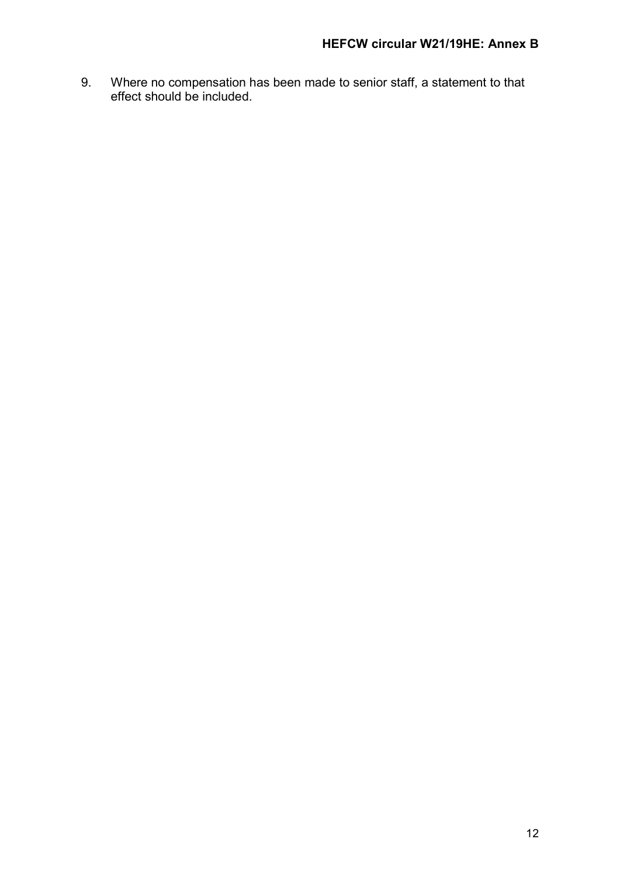9. Where no compensation has been made to senior staff, a statement to that effect should be included.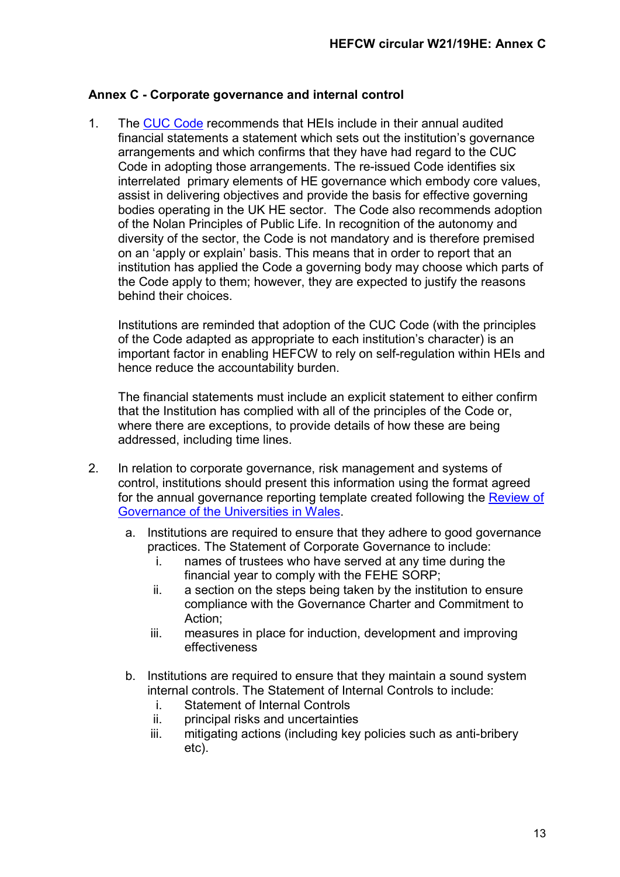# <span id="page-13-0"></span>**Annex C - Corporate governance and internal control**

1. The [CUC Code](https://www.universitychairs.ac.uk/wp-content/uploads/2020/09/CUC-HE-Code-of-Governance-publication-final.pdf) recommends that HEIs include in their annual audited financial statements a statement which sets out the institution's governance arrangements and which confirms that they have had regard to the CUC Code in adopting those arrangements. The re-issued Code identifies six interrelated primary elements of HE governance which embody core values, assist in delivering objectives and provide the basis for effective governing bodies operating in the UK HE sector. The Code also recommends adoption of the Nolan Principles of Public Life. In recognition of the autonomy and diversity of the sector, the Code is not mandatory and is therefore premised on an 'apply or explain' basis. This means that in order to report that an institution has applied the Code a governing body may choose which parts of the Code apply to them; however, they are expected to justify the reasons behind their choices.

Institutions are reminded that adoption of the CUC Code (with the principles of the Code adapted as appropriate to each institution's character) is an important factor in enabling HEFCW to rely on self-regulation within HEIs and hence reduce the accountability burden.

The financial statements must include an explicit statement to either confirm that the Institution has complied with all of the principles of the Code or, where there are exceptions, to provide details of how these are being addressed, including time lines.

- 2. In relation to corporate governance, risk management and systems of control, institutions should present this information using the format agreed for the annual governance reporting template created following the Review of [Governance of the Universities in Wales.](https://www.hefcw.ac.uk/wp-content/uploads/2020/09/Gillian-Camm-Wales-Governance-Review.pdf)
	- a. Institutions are required to ensure that they adhere to good governance practices. The Statement of Corporate Governance to include:
		- i. names of trustees who have served at any time during the financial year to comply with the FEHE SORP;
		- ii. a section on the steps being taken by the institution to ensure compliance with the Governance Charter and Commitment to Action;
		- iii. measures in place for induction, development and improving effectiveness
	- b. Institutions are required to ensure that they maintain a sound system internal controls. The Statement of Internal Controls to include:
		- i. Statement of Internal Controls
		- ii. principal risks and uncertainties
		- iii. mitigating actions (including key policies such as anti-bribery etc).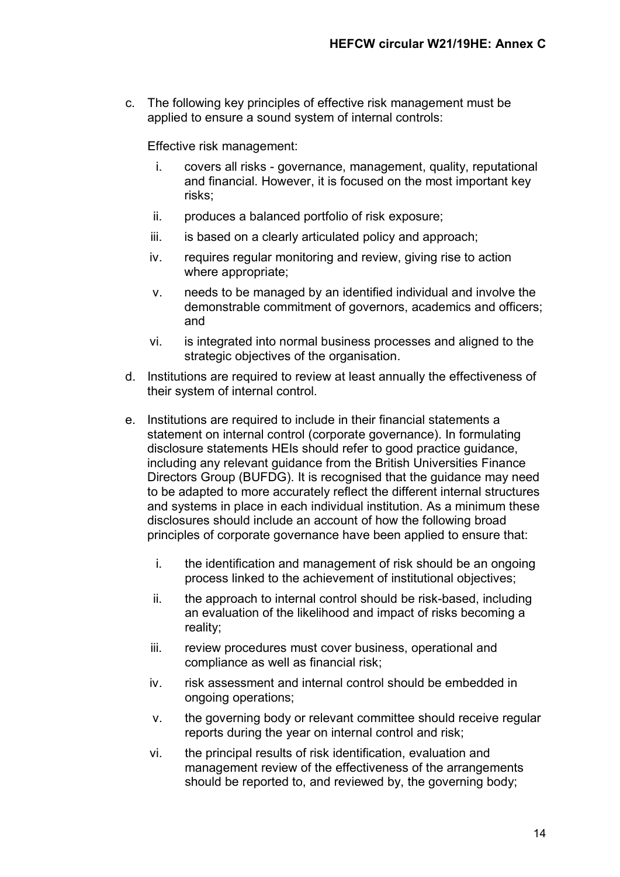c. The following key principles of effective risk management must be applied to ensure a sound system of internal controls:

Effective risk management:

- i. covers all risks governance, management, quality, reputational and financial. However, it is focused on the most important key risks;
- ii. produces a balanced portfolio of risk exposure;
- iii. is based on a clearly articulated policy and approach;
- iv. requires regular monitoring and review, giving rise to action where appropriate;
- v. needs to be managed by an identified individual and involve the demonstrable commitment of governors, academics and officers; and
- vi. is integrated into normal business processes and aligned to the strategic objectives of the organisation.
- d. Institutions are required to review at least annually the effectiveness of their system of internal control.
- e. Institutions are required to include in their financial statements a statement on internal control (corporate governance). In formulating disclosure statements HEIs should refer to good practice guidance, including any relevant guidance from the British Universities Finance Directors Group (BUFDG). It is recognised that the guidance may need to be adapted to more accurately reflect the different internal structures and systems in place in each individual institution. As a minimum these disclosures should include an account of how the following broad principles of corporate governance have been applied to ensure that:
	- i. the identification and management of risk should be an ongoing process linked to the achievement of institutional objectives;
	- ii. the approach to internal control should be risk-based, including an evaluation of the likelihood and impact of risks becoming a reality;
	- iii. review procedures must cover business, operational and compliance as well as financial risk;
	- iv. risk assessment and internal control should be embedded in ongoing operations;
	- v. the governing body or relevant committee should receive regular reports during the year on internal control and risk;
	- vi. the principal results of risk identification, evaluation and management review of the effectiveness of the arrangements should be reported to, and reviewed by, the governing body;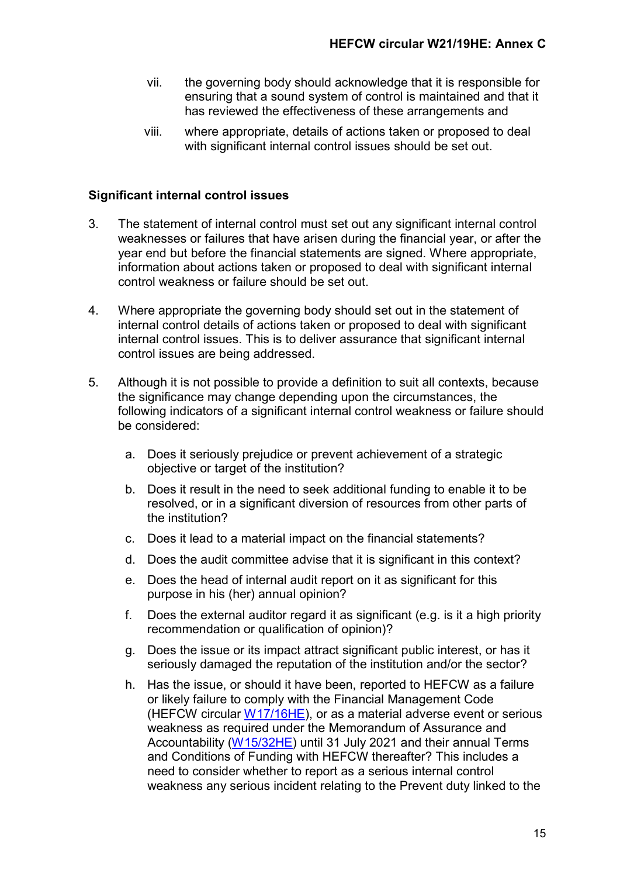- vii. the governing body should acknowledge that it is responsible for ensuring that a sound system of control is maintained and that it has reviewed the effectiveness of these arrangements and
- viii. where appropriate, details of actions taken or proposed to deal with significant internal control issues should be set out.

### **Significant internal control issues**

- 3. The statement of internal control must set out any significant internal control weaknesses or failures that have arisen during the financial year, or after the year end but before the financial statements are signed. Where appropriate, information about actions taken or proposed to deal with significant internal control weakness or failure should be set out.
- 4. Where appropriate the governing body should set out in the statement of internal control details of actions taken or proposed to deal with significant internal control issues. This is to deliver assurance that significant internal control issues are being addressed.
- 5. Although it is not possible to provide a definition to suit all contexts, because the significance may change depending upon the circumstances, the following indicators of a significant internal control weakness or failure should be considered:
	- a. Does it seriously prejudice or prevent achievement of a strategic objective or target of the institution?
	- b. Does it result in the need to seek additional funding to enable it to be resolved, or in a significant diversion of resources from other parts of the institution?
	- c. Does it lead to a material impact on the financial statements?
	- d. Does the audit committee advise that it is significant in this context?
	- e. Does the head of internal audit report on it as significant for this purpose in his (her) annual opinion?
	- f. Does the external auditor regard it as significant (e.g. is it a high priority recommendation or qualification of opinion)?
	- g. Does the issue or its impact attract significant public interest, or has it seriously damaged the reputation of the institution and/or the sector?
	- h. Has the issue, or should it have been, reported to HEFCW as a failure or likely failure to comply with the Financial Management Code (HEFCW circular [W17/16HE\)](https://www.hefcw.ac.uk/en/publications/circulars/w17-16he-financial-management-code/), or as a material adverse event or serious weakness as required under the Memorandum of Assurance and Accountability [\(W15/32HE\)](https://www.hefcw.ac.uk/en/publications/circulars/w15-32he-memorandum-of-assurance-and-accountability/) until 31 July 2021 and their annual Terms and Conditions of Funding with HEFCW thereafter? This includes a need to consider whether to report as a serious internal control weakness any serious incident relating to the Prevent duty linked to the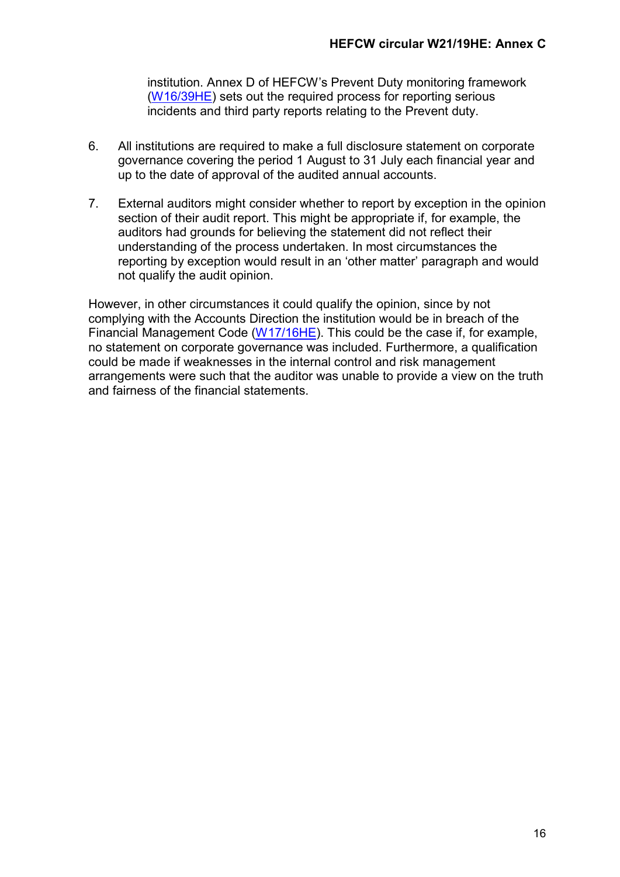institution. Annex D of HEFCW's Prevent Duty monitoring framework [\(W16/39HE\)](https://www.hefcw.ac.uk/en/publications/circulars/w16-39he-the-prevent-duty-monitoring-framework-for-higher-education-providers-in-wales/) sets out the required process for reporting serious incidents and third party reports relating to the Prevent duty.

- 6. All institutions are required to make a full disclosure statement on corporate governance covering the period 1 August to 31 July each financial year and up to the date of approval of the audited annual accounts.
- 7. External auditors might consider whether to report by exception in the opinion section of their audit report. This might be appropriate if, for example, the auditors had grounds for believing the statement did not reflect their understanding of the process undertaken. In most circumstances the reporting by exception would result in an 'other matter' paragraph and would not qualify the audit opinion.

However, in other circumstances it could qualify the opinion, since by not complying with the Accounts Direction the institution would be in breach of the Financial Management Code ( $W17/16HE$ ). This could be the case if, for example, no statement on corporate governance was included. Furthermore, a qualification could be made if weaknesses in the internal control and risk management arrangements were such that the auditor was unable to provide a view on the truth and fairness of the financial statements.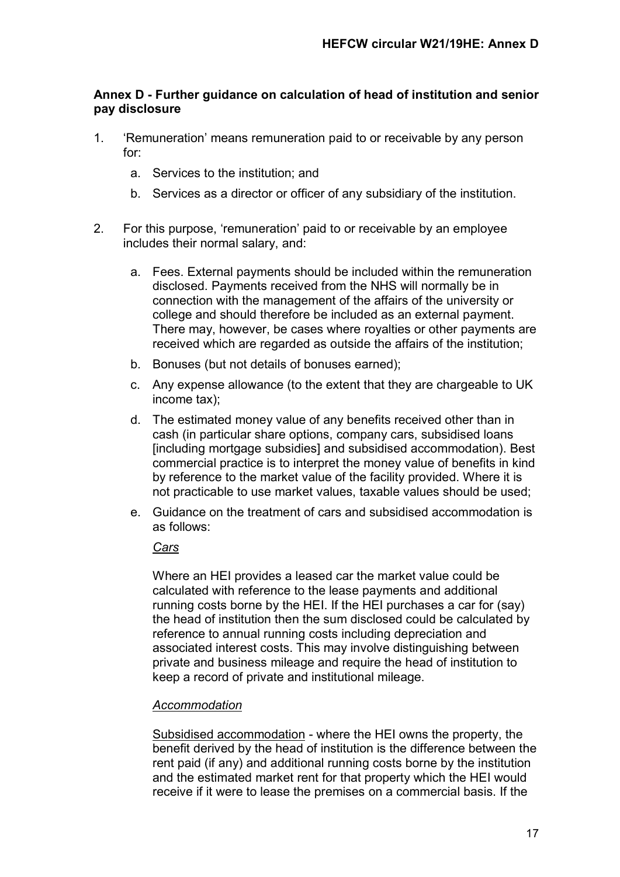# <span id="page-17-0"></span>**Annex D - Further guidance on calculation of head of institution and senior pay disclosure**

- 1. 'Remuneration' means remuneration paid to or receivable by any person for:
	- a. Services to the institution; and
	- b. Services as a director or officer of any subsidiary of the institution.
- 2. For this purpose, 'remuneration' paid to or receivable by an employee includes their normal salary, and:
	- a. Fees. External payments should be included within the remuneration disclosed. Payments received from the NHS will normally be in connection with the management of the affairs of the university or college and should therefore be included as an external payment. There may, however, be cases where royalties or other payments are received which are regarded as outside the affairs of the institution;
	- b. Bonuses (but not details of bonuses earned);
	- c. Any expense allowance (to the extent that they are chargeable to UK income tax);
	- d. The estimated money value of any benefits received other than in cash (in particular share options, company cars, subsidised loans [including mortgage subsidies] and subsidised accommodation). Best commercial practice is to interpret the money value of benefits in kind by reference to the market value of the facility provided. Where it is not practicable to use market values, taxable values should be used;
	- e. Guidance on the treatment of cars and subsidised accommodation is as follows:

#### *Cars*

Where an HEI provides a leased car the market value could be calculated with reference to the lease payments and additional running costs borne by the HEI. If the HEI purchases a car for (say) the head of institution then the sum disclosed could be calculated by reference to annual running costs including depreciation and associated interest costs. This may involve distinguishing between private and business mileage and require the head of institution to keep a record of private and institutional mileage.

#### *Accommodation*

Subsidised accommodation - where the HEI owns the property, the benefit derived by the head of institution is the difference between the rent paid (if any) and additional running costs borne by the institution and the estimated market rent for that property which the HEI would receive if it were to lease the premises on a commercial basis. If the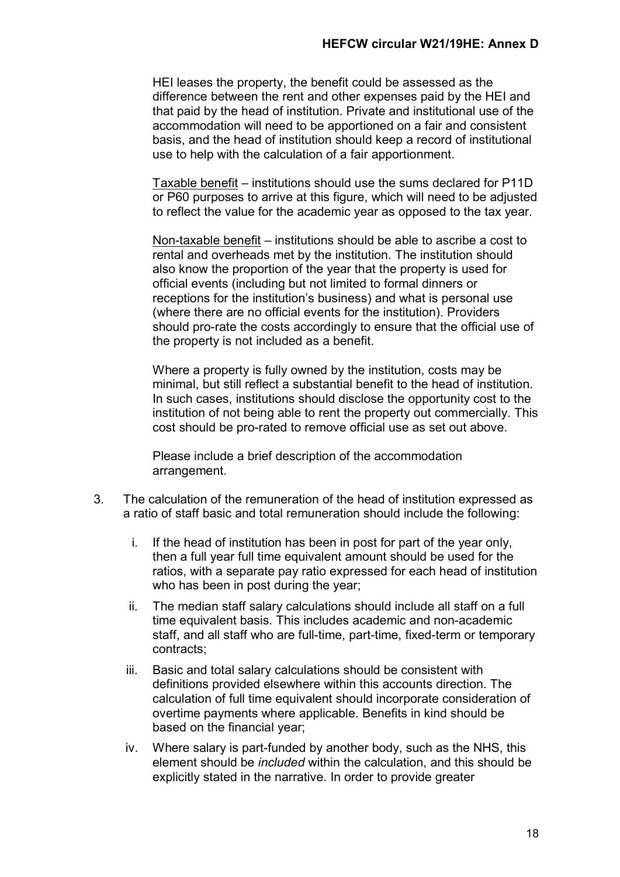HEI leases the property, the benefit could be assessed as the difference between the rent and other expenses paid by the HEI and that paid by the head of institution. Private and institutional use of the accommodation will need to be apportioned on a fair and consistent basis, and the head of institution should keep a record of institutional use to help with the calculation of a fair apportionment.

Taxable benefit – institutions should use the sums declared for P11D or P60 purposes to arrive at this figure, which will need to be adjusted to reflect the value for the academic year as opposed to the tax year.

Non-taxable benefit – institutions should be able to ascribe a cost to rental and overheads met by the institution. The institution should also know the proportion of the year that the property is used for official events (including but not limited to formal dinners or receptions for the institution's business) and what is personal use (where there are no official events for the institution). Providers should pro-rate the costs accordingly to ensure that the official use of the property is not included as a benefit.

Where a property is fully owned by the institution, costs may be minimal, but still reflect a substantial benefit to the head of institution. In such cases, institutions should disclose the opportunity cost to the institution of not being able to rent the property out commercially. This cost should be pro-rated to remove official use as set out above.

Please include a brief description of the accommodation arrangement.

- 3. The calculation of the remuneration of the head of institution expressed as a ratio of staff basic and total remuneration should include the following:
	- i. If the head of institution has been in post for part of the year only, then a full year full time equivalent amount should be used for the ratios, with a separate pay ratio expressed for each head of institution who has been in post during the year;
	- ii. The median staff salary calculations should include all staff on a full time equivalent basis. This includes academic and non-academic staff, and all staff who are full-time, part-time, fixed-term or temporary contracts;
	- iii. Basic and total salary calculations should be consistent with definitions provided elsewhere within this accounts direction. The calculation of full time equivalent should incorporate consideration of overtime payments where applicable. Benefits in kind should be based on the financial year;
	- iv. Where salary is part-funded by another body, such as the NHS, this element should be *included* within the calculation, and this should be explicitly stated in the narrative. In order to provide greater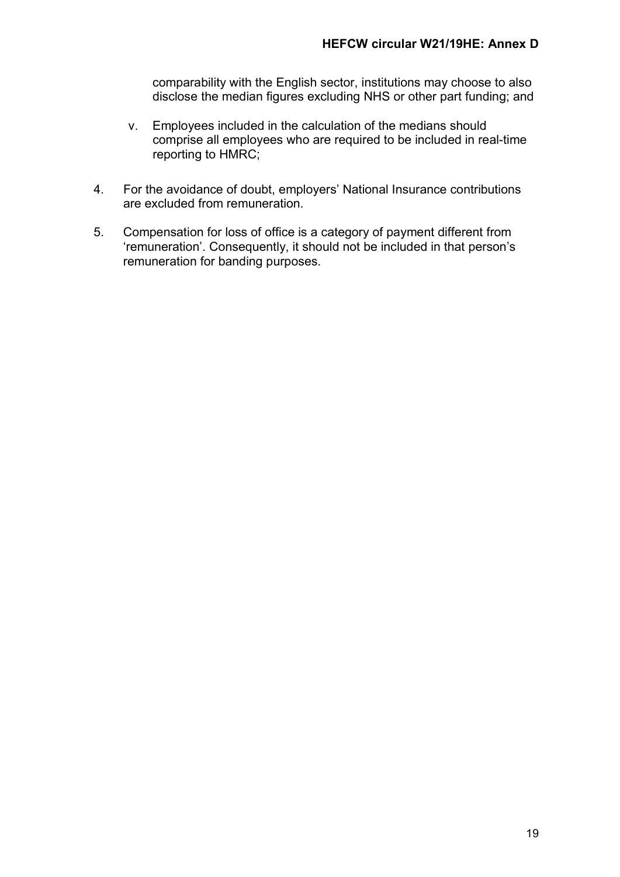comparability with the English sector, institutions may choose to also disclose the median figures excluding NHS or other part funding; and

- v. Employees included in the calculation of the medians should comprise all employees who are required to be included in real-time reporting to HMRC;
- 4. For the avoidance of doubt, employers' National Insurance contributions are excluded from remuneration.
- 5. Compensation for loss of office is a category of payment different from 'remuneration'. Consequently, it should not be included in that person's remuneration for banding purposes.